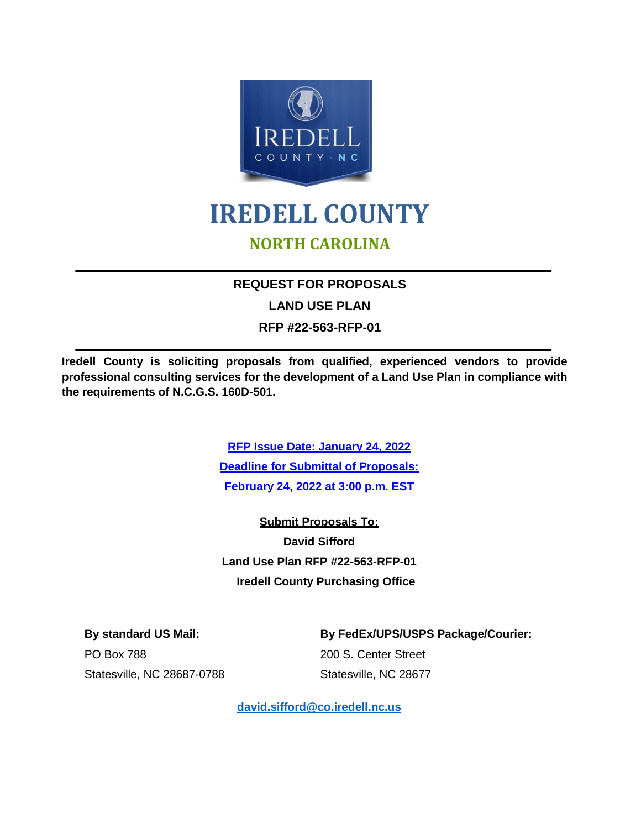

# **IREDELL COUNTY NORTH CAROLINA**

# **REQUEST FOR PROPOSALS**

**LAND USE PLAN**

**RFP #22-563-RFP-01**

**Iredell County is soliciting proposals from qualified, experienced vendors to provide professional consulting services for the development of a Land Use Plan in compliance with the requirements of N.C.G.S. 160D-501.**

> **RFP Issue Date: January 24, 2022 Deadline for Submittal of Proposals: February 24, 2022 at 3:00 p.m. EST**

> **Submit Proposals To: David Sifford Land Use Plan RFP #22-563-RFP-01 Iredell County Purchasing Office**

PO Box 788 200 S. Center Street

**By standard US Mail: By FedEx/UPS/USPS Package/Courier:**

Statesville, NC 28687-0788 Statesville, NC 28677

**[david.sifford@co.iredell.nc.us](mailto:david.sifford@co.iredell.nc.us)**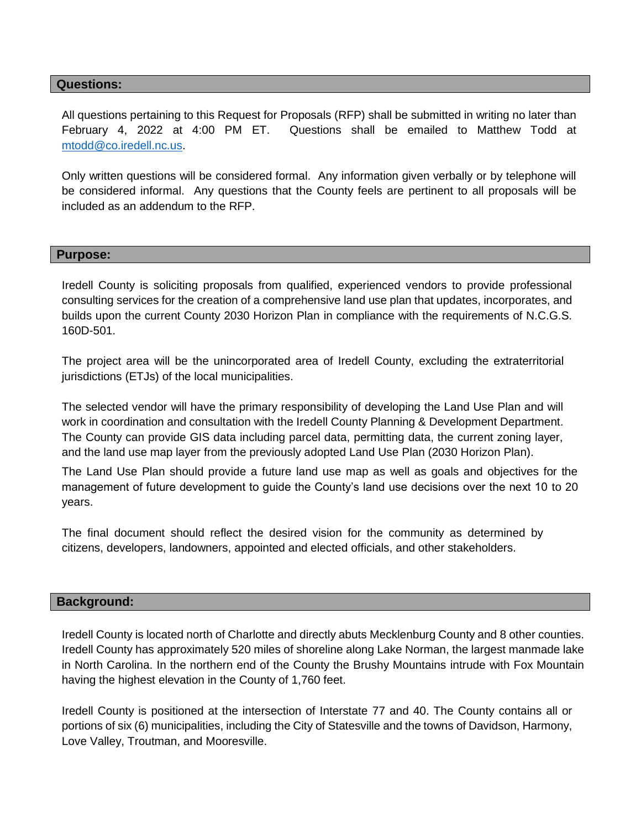#### **Questions:**

All questions pertaining to this Request for Proposals (RFP) shall be submitted in writing no later than February 4, 2022 at 4:00 PM ET. Questions shall be emailed to Matthew Todd at [mtodd@co.iredell.nc.us.](mailto:mtodd@co.iredell.nc.us)

Only written questions will be considered formal. Any information given verbally or by telephone will be considered informal. Any questions that the County feels are pertinent to all proposals will be included as an addendum to the RFP.

#### **Purpose:**

Iredell County is soliciting proposals from qualified, experienced vendors to provide professional consulting services for the creation of a comprehensive land use plan that updates, incorporates, and builds upon the current County 2030 Horizon Plan in compliance with the requirements of N.C.G.S. 160D-501.

The project area will be the unincorporated area of Iredell County, excluding the extraterritorial jurisdictions (ETJs) of the local municipalities.

The selected vendor will have the primary responsibility of developing the Land Use Plan and will work in coordination and consultation with the Iredell County Planning & Development Department. The County can provide GIS data including parcel data, permitting data, the current zoning layer, and the land use map layer from the previously adopted Land Use Plan (2030 Horizon Plan).

The Land Use Plan should provide a future land use map as well as goals and objectives for the management of future development to guide the County's land use decisions over the next 10 to 20 years.

The final document should reflect the desired vision for the community as determined by citizens, developers, landowners, appointed and elected officials, and other stakeholders.

#### **Background:**

Iredell County is located north of Charlotte and directly abuts Mecklenburg County and 8 other counties. Iredell County has approximately 520 miles of shoreline along Lake Norman, the largest manmade lake in North Carolina. In the northern end of the County the Brushy Mountains intrude with Fox Mountain having the highest elevation in the County of 1,760 feet.

Iredell County is positioned at the intersection of Interstate 77 and 40. The County contains all or portions of six (6) municipalities, including the City of Statesville and the towns of Davidson, Harmony, Love Valley, Troutman, and Mooresville.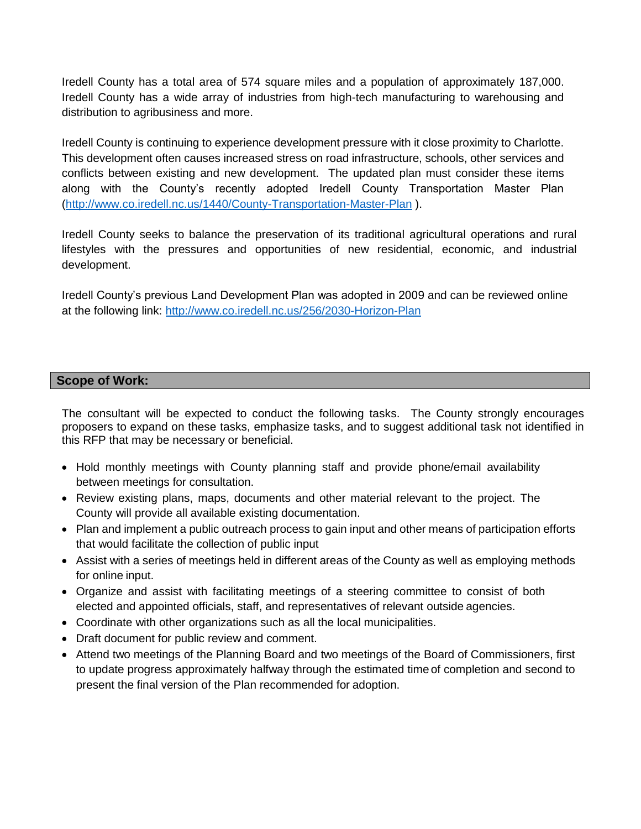Iredell County has a total area of 574 square miles and a population of approximately 187,000. Iredell County has a wide array of industries from high-tech manufacturing to warehousing and distribution to agribusiness and more.

Iredell County is continuing to experience development pressure with it close proximity to Charlotte. This development often causes increased stress on road infrastructure, schools, other services and conflicts between existing and new development. The updated plan must consider these items along with the County's recently adopted Iredell County Transportation Master Plan [\(http://www.co.iredell.nc.us/1440/County-Transportation-Master-Plan](http://www.co.iredell.nc.us/1440/County-Transportation-Master-Plan) ).

Iredell County seeks to balance the preservation of its traditional agricultural operations and rural lifestyles with the pressures and opportunities of new residential, economic, and industrial development.

Iredell County's previous Land Development Plan was adopted in 2009 and can be reviewed online at the following link:<http://www.co.iredell.nc.us/256/2030-Horizon-Plan>

## **Scope of Work:**

The consultant will be expected to conduct the following tasks. The County strongly encourages proposers to expand on these tasks, emphasize tasks, and to suggest additional task not identified in this RFP that may be necessary or beneficial.

- Hold monthly meetings with County planning staff and provide phone/email availability between meetings for consultation.
- Review existing plans, maps, documents and other material relevant to the project. The County will provide all available existing documentation.
- Plan and implement a public outreach process to gain input and other means of participation efforts that would facilitate the collection of public input
- Assist with a series of meetings held in different areas of the County as well as employing methods for online input.
- Organize and assist with facilitating meetings of a steering committee to consist of both elected and appointed officials, staff, and representatives of relevant outside agencies.
- Coordinate with other organizations such as all the local municipalities.
- Draft document for public review and comment.
- Attend two meetings of the Planning Board and two meetings of the Board of Commissioners, first to update progress approximately halfway through the estimated time of completion and second to present the final version of the Plan recommended for adoption.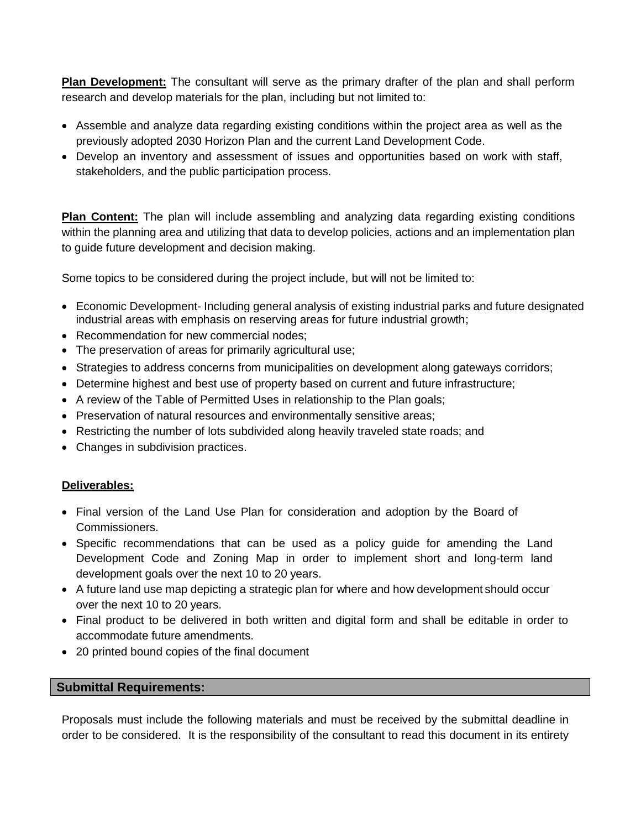**Plan Development:** The consultant will serve as the primary drafter of the plan and shall perform research and develop materials for the plan, including but not limited to:

- Assemble and analyze data regarding existing conditions within the project area as well as the previously adopted 2030 Horizon Plan and the current Land Development Code.
- Develop an inventory and assessment of issues and opportunities based on work with staff, stakeholders, and the public participation process.

**Plan Content:** The plan will include assembling and analyzing data regarding existing conditions within the planning area and utilizing that data to develop policies, actions and an implementation plan to guide future development and decision making.

Some topics to be considered during the project include, but will not be limited to:

- Economic Development- Including general analysis of existing industrial parks and future designated industrial areas with emphasis on reserving areas for future industrial growth;
- Recommendation for new commercial nodes:
- The preservation of areas for primarily agricultural use;
- Strategies to address concerns from municipalities on development along gateways corridors;
- Determine highest and best use of property based on current and future infrastructure;
- A review of the Table of Permitted Uses in relationship to the Plan goals;
- Preservation of natural resources and environmentally sensitive areas;
- Restricting the number of lots subdivided along heavily traveled state roads; and
- Changes in subdivision practices.

## **Deliverables:**

- Final version of the Land Use Plan for consideration and adoption by the Board of Commissioners.
- Specific recommendations that can be used as a policy quide for amending the Land Development Code and Zoning Map in order to implement short and long-term land development goals over the next 10 to 20 years.
- A future land use map depicting a strategic plan for where and how development should occur over the next 10 to 20 years.
- Final product to be delivered in both written and digital form and shall be editable in order to accommodate future amendments.
- 20 printed bound copies of the final document

## **Submittal Requirements:**

Proposals must include the following materials and must be received by the submittal deadline in order to be considered. It is the responsibility of the consultant to read this document in its entirety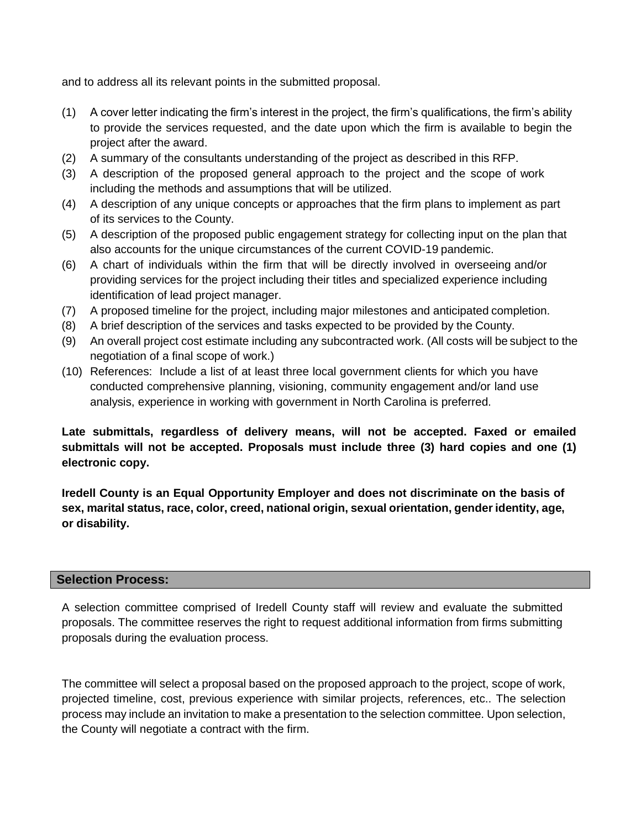and to address all its relevant points in the submitted proposal.

- (1) A cover letter indicating the firm's interest in the project, the firm's qualifications, the firm's ability to provide the services requested, and the date upon which the firm is available to begin the project after the award.
- (2) A summary of the consultants understanding of the project as described in this RFP.
- (3) A description of the proposed general approach to the project and the scope of work including the methods and assumptions that will be utilized.
- (4) A description of any unique concepts or approaches that the firm plans to implement as part of its services to the County.
- (5) A description of the proposed public engagement strategy for collecting input on the plan that also accounts for the unique circumstances of the current COVID-19 pandemic.
- (6) A chart of individuals within the firm that will be directly involved in overseeing and/or providing services for the project including their titles and specialized experience including identification of lead project manager.
- (7) A proposed timeline for the project, including major milestones and anticipated completion.
- (8) A brief description of the services and tasks expected to be provided by the County.
- (9) An overall project cost estimate including any subcontracted work. (All costs will be subject to the negotiation of a final scope of work.)
- (10) References: Include a list of at least three local government clients for which you have conducted comprehensive planning, visioning, community engagement and/or land use analysis, experience in working with government in North Carolina is preferred.

# **Late submittals, regardless of delivery means, will not be accepted. Faxed or emailed submittals will not be accepted. Proposals must include three (3) hard copies and one (1) electronic copy.**

**Iredell County is an Equal Opportunity Employer and does not discriminate on the basis of sex, marital status, race, color, creed, national origin, sexual orientation, gender identity, age, or disability.**

#### **Selection Process:**

A selection committee comprised of Iredell County staff will review and evaluate the submitted proposals. The committee reserves the right to request additional information from firms submitting proposals during the evaluation process.

The committee will select a proposal based on the proposed approach to the project, scope of work, projected timeline, cost, previous experience with similar projects, references, etc.. The selection process may include an invitation to make a presentation to the selection committee. Upon selection, the County will negotiate a contract with the firm.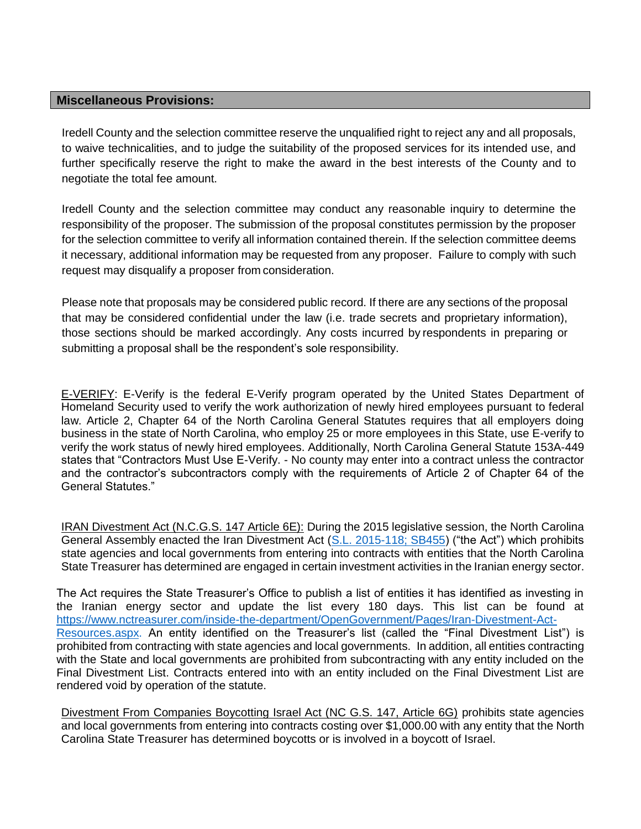#### **Miscellaneous Provisions:**

Iredell County and the selection committee reserve the unqualified right to reject any and all proposals, to waive technicalities, and to judge the suitability of the proposed services for its intended use, and further specifically reserve the right to make the award in the best interests of the County and to negotiate the total fee amount.

Iredell County and the selection committee may conduct any reasonable inquiry to determine the responsibility of the proposer. The submission of the proposal constitutes permission by the proposer for the selection committee to verify all information contained therein. If the selection committee deems it necessary, additional information may be requested from any proposer. Failure to comply with such request may disqualify a proposer from consideration.

Please note that proposals may be considered public record. If there are any sections of the proposal that may be considered confidential under the law (i.e. trade secrets and proprietary information), those sections should be marked accordingly. Any costs incurred by respondents in preparing or submitting a proposal shall be the respondent's sole responsibility.

E-VERIFY: E-Verify is the federal E-Verify program operated by the United States Department of Homeland Security used to verify the work authorization of newly hired employees pursuant to federal law. Article 2, Chapter 64 of the North Carolina General Statutes requires that all employers doing business in the state of North Carolina, who employ 25 or more employees in this State, use E-verify to verify the work status of newly hired employees. Additionally, North Carolina General Statute 153A-449 states that "Contractors Must Use E-Verify. - No county may enter into a contract unless the contractor and the contractor's subcontractors comply with the requirements of Article 2 of Chapter 64 of the General Statutes."

IRAN Divestment Act (N.C.G.S. 147 Article 6E): During the 2015 legislative session, the North Carolina General Assembly enacted the Iran Divestment Act [\(S.L. 2015-118; SB455\)](http://www.ncleg.net/Sessions/2015/Bills/Senate/HTML/S455v5.html) ("the Act") which prohibits state agencies and local governments from entering into contracts with entities that the North Carolina State Treasurer has determined are engaged in certain investment activities in the Iranian energy sector.

The Act requires the State Treasurer's Office to publish a list of entities it has identified as investing in the Iranian energy sector and update the list every 180 days. This list can be found at [https://www.nctreasurer.com/inside-the-department/OpenGovernment/Pages/Iran-Divestment-Act-](https://www.nctreasurer.com/inside-the-department/OpenGovernment/Pages/Iran-Divestment-Act-Resources.aspx)[Resources.aspx.](https://www.nctreasurer.com/inside-the-department/OpenGovernment/Pages/Iran-Divestment-Act-Resources.aspx) An entity identified on the Treasurer's list (called the "Final Divestment List") is prohibited from contracting with state agencies and local governments. In addition, all entities contracting with the State and local governments are prohibited from subcontracting with any entity included on the Final Divestment List. Contracts entered into with an entity included on the Final Divestment List are rendered void by operation of the statute.

Divestment From Companies Boycotting Israel Act (NC G.S. 147, Article 6G) prohibits state agencies and local governments from entering into contracts costing over \$1,000.00 with any entity that the North Carolina State Treasurer has determined boycotts or is involved in a boycott of Israel.